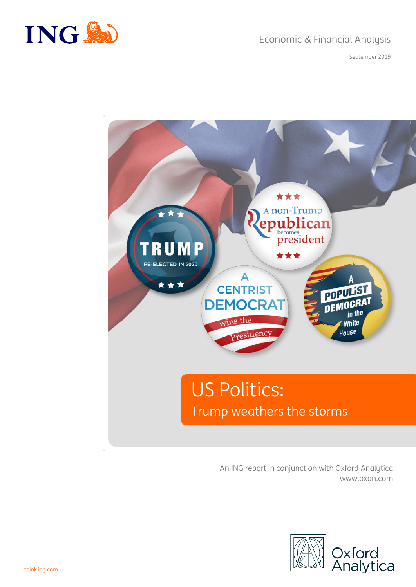



September 2019



An ING report in conjunction with Oxford Analytica www.oxan.com

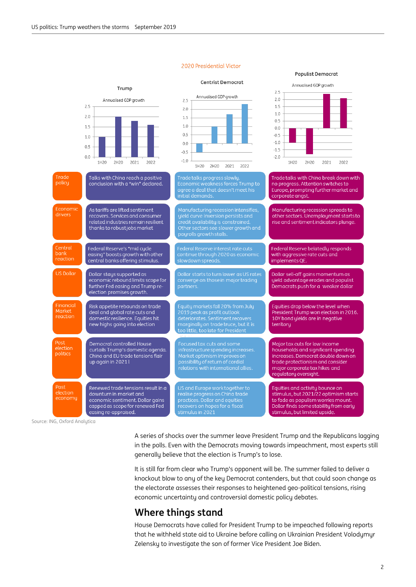#### Trump  $2.5$ Annualised GDP growth  $2.0$ Annualised GDP growth  $25$  $25$  $15$  $20$  $10$  $20$  $1.5$  $0.5$  $1.0$  $15$  $0.0$  $0.5$  $-0.5$  $10$  $-10$  $0.0$  $0<sub>5</sub>$  $-1.5$  $-0.5$  $0.0$  $-2.0$  $-1.0$ 1H20 2H20 2021 2022 1H20 2H20 2021 2022  $1H20$ 2H20 2021 2022 Trade Talks with China reach a positive Trade talks with China break down with policu conclusion with a "win" declared. no progress. Attention switches to agree a deal that doesn't meet his Europe, prompting further market and initial demands. corporate angst. As tariffs are lifted sentiment Manufacturing recession spreads to drivers yield curve inversion persists and<br>credit availability is constrained.<br>Other sectors see slower growth and recovers. Services and consumer other sectors. Unemployment starts to rise and sentiment indicators plunge. related industries remain resilient thanks to robustiobs market payrolls growth stalls Central Federal Reserve belatedly responds Federal Reserve's "mid cucle bank easing" boosts growth with other with aggressive rate cuts and **reaction** central banks offering stimulus implements QE. **LIS Dollar** Dollar stays supported as Dollar starts to turn lower as US rates Dollar sell-off gains momentum as converge on those in major trading economic rebound limits scope for yield advantage erodes and populist further Fed easing and Trump re-Democrats push for a weaker dollar partners. election promises growth. .<br>Equity markets fall 20% from July<br>2019 peak as profit outlook Financial Fauities drop below the level when Risk appetite rebounds on trade Marke President Trump won election in 2016. deal and global rate cuts and reaction deteriorates. Sentiment recovers<br>marginally on trade truce, but it is domestic resilience. Equities hit 10Y bond yields are in negative new highs going into election territoru Post Democrat controlled House Focused tax cuts and some Major tax cuts for low income election curtails Trump's domestic agenda. households and significant spending politics China and EU trade tensions flair increases. Democrat double down on up again in 20211 trade protectionism and consider major corporate tax hikes and regulatory oversight. Post Renewed trade tensions result in a US and Europe work together to Equities and activity bounce on election downturn in market and realise progress on China trade stimulus, but 2021/22 optimism starts economu progress of emile and<br>practices. Dollar and equities<br>recovers on hopes for a fiscal to fade as populism worries mount. economic sentiment. Dollar gains Dollar finds some stability from early capped as scope for renewed Fed easing re-appraised. stimulus, but limited upside.

Source: ING, Oxford Analytica

A series of shocks over the summer leave President Trump and the Republicans lagging in the polls. Even with the Democrats moving towards impeachment, most experts still generally believe that the election is Trump's to lose.

It is still far from clear who Trump's opponent will be. The summer failed to deliver a knockout blow to any of the key Democrat contenders, but that could soon change as the electorate assesses their responses to heightened geo-political tensions, rising economic uncertainty and controversial domestic policy debates.

# **Where things stand**

House Democrats have called for President Trump to be impeached following reports that he withheld state aid to Ukraine before calling on Ukrainian President Volodymyr Zelensky to investigate the son of former Vice President Joe Biden.

#### 2020 Presidential Victor

#### **Centrist Democrat**



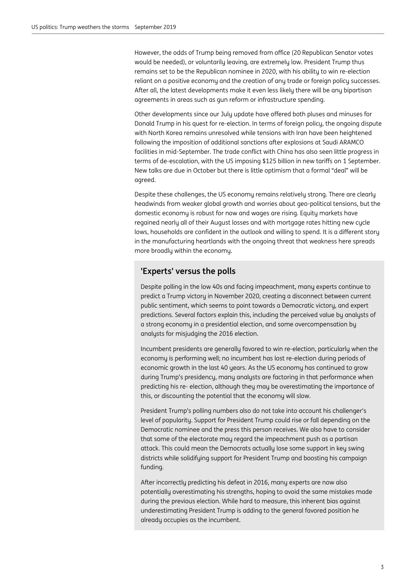However, the odds of Trump being removed from office (20 Republican Senator votes would be needed), or voluntarily leaving, are extremely low. President Trump thus remains set to be the Republican nominee in 2020, with his ability to win re-election reliant on a positive economy and the creation of any trade or foreign policy successes. After all, the latest developments make it even less likely there will be any bipartisan agreements in areas such as gun reform or infrastructure spending.

Other developments since our July update have offered both pluses and minuses for Donald Trump in his quest for re-election. In terms of foreign policy, the ongoing dispute with North Korea remains unresolved while tensions with Iran have been heightened following the imposition of additional sanctions after explosions at Saudi ARAMCO facilities in mid-September. The trade conflict with China has also seen little progress in terms of de-escalation, with the US imposing \$125 billion in new tariffs on 1 September. New talks are due in October but there is little optimism that a formal "deal" will be agreed.

Despite these challenges, the US economy remains relatively strong. There are clearly headwinds from weaker global growth and worries about geo-political tensions, but the domestic economy is robust for now and wages are rising. Equity markets have regained nearly all of their August losses and with mortgage rates hitting new cycle lows, households are confident in the outlook and willing to spend. It is a different story in the manufacturing heartlands with the ongoing threat that weakness here spreads more broadly within the economy.

#### **'Experts' versus the polls**

Despite polling in the low 40s and facing impeachment, many experts continue to predict a Trump victory in November 2020, creating a disconnect between current public sentiment, which seems to point towards a Democratic victory, and expert predictions. Several factors explain this, including the perceived value by analysts of a strong economy in a presidential election, and some overcompensation by analysts for misjudging the 2016 election.

Incumbent presidents are generally favored to win re-election, particularly when the economy is performing well; no incumbent has lost re-election during periods of economic growth in the last 40 years. As the US economy has continued to grow during Trump's presidency, many analysts are factoring in that performance when predicting his re- election, although they may be overestimating the importance of this, or discounting the potential that the economy will slow.

President Trump's polling numbers also do not take into account his challenger's level of popularity. Support for President Trump could rise or fall depending on the Democratic nominee and the press this person receives. We also have to consider that some of the electorate may regard the impeachment push as a partisan attack. This could mean the Democrats actually lose some support in key swing districts while solidifying support for President Trump and boosting his campaign funding.

After incorrectly predicting his defeat in 2016, many experts are now also potentially overestimating his strengths, hoping to avoid the same mistakes made during the previous election. While hard to measure, this inherent bias against underestimating President Trump is adding to the general favored position he already occupies as the incumbent.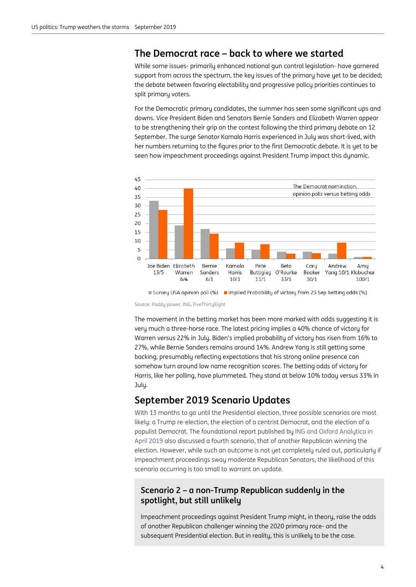### **The Democrat race – back to where we started**

While some issues- primarily enhanced national gun control legislation- have garnered support from across the spectrum, the key issues of the primary have yet to be decided; the debate between favoring electability and progressive policy priorities continues to split primary voters.

For the Democratic primary candidates, the summer has seen some significant ups and downs. Vice President Biden and Senators Bernie Sanders and Elizabeth Warren appear to be strengthening their grip on the contest following the third primary debate on 12 September. The surge Senator Kamala Harris experienced in July was short-lived, with her numbers returning to the figures prior to the first Democratic debate. It is yet to be seen how impeachment proceedings against President Trump impact this dynamic.



■ Survey USA opinion poll (%) ■ Implied Probability of victory from 23 Sep betting odds (%)

Source: Paddy power, ING, FiveThirtyEight

The movement in the betting market has been more marked with odds suggesting it is very much a three-horse race. The latest pricing implies a 40% chance of victory for Warren versus 22% in July. Biden's implied probability of victory has risen from 16% to 27%, while Bernie Sanders remains around 14%. Andrew Yang is still getting some backing, presumably reflecting expectations that his strong online presence can somehow turn around low name recognition scores. The betting odds of victory for Harris, like her polling, have plummeted. They stand at below 10% today versus 33% in July.

## **September 2019 Scenario Updates**

With 13 months to go until the Presidential election, three possible scenarios are most likely: a Trump re-election, the election of a centrist Democrat, and the election of a populist Democrat. The foundational report published b[y ING and Oxford Analytica in](https://think.ing.com/reports/us-politics-watch-four-scenarios-for-2020-and-beyond/)  [April 2019](https://think.ing.com/reports/us-politics-watch-four-scenarios-for-2020-and-beyond/) also discussed a fourth scenario, that of another Republican winning the election. However, while such an outcome is not yet completely ruled out, particularly if impeachment proceedings sway moderate Republican Senators, the likelihood of this scenario occurring is too small to warrant an update.

#### **Scenario 2 – a non-Trump Republican suddenly in the spotlight, but still unlikely**

Impeachment proceedings against President Trump might, in theory, raise the odds of another Republican challenger winning the 2020 primary race- and the subsequent Presidential election. But in reality, this is unlikely to be the case.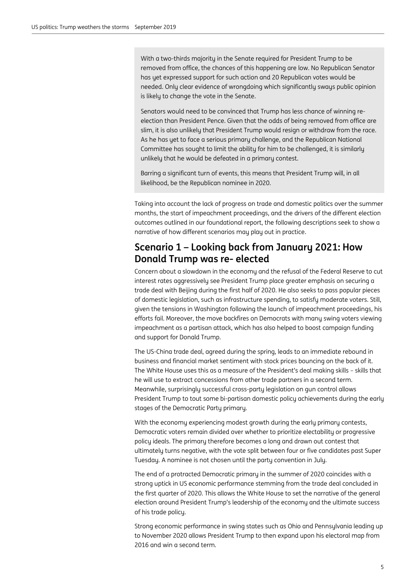With a two-thirds majority in the Senate required for President Trump to be removed from office, the chances of this happening are low. No Republican Senator has yet expressed support for such action and 20 Republican votes would be needed. Only clear evidence of wrongdoing which significantly sways public opinion is likely to change the vote in the Senate.

Senators would need to be convinced that Trump has less chance of winning reelection than President Pence. Given that the odds of being removed from office are slim, it is also unlikely that President Trump would resign or withdraw from the race. As he has yet to face a serious primary challenge, and the Republican National Committee has sought to limit the ability for him to be challenged, it is similarly unlikely that he would be defeated in a primary contest.

Barring a significant turn of events, this means that President Trump will, in all likelihood, be the Republican nominee in 2020.

Taking into account the lack of progress on trade and domestic politics over the summer months, the start of impeachment proceedings, and the drivers of the different election outcomes outlined in our foundational report, the following descriptions seek to show a narrative of how different scenarios may play out in practice.

# **Scenario 1 – Looking back from January 2021: How Donald Trump was re- elected**

Concern about a slowdown in the economy and the refusal of the Federal Reserve to cut interest rates aggressively see President Trump place greater emphasis on securing a trade deal with Beijing during the first half of 2020. He also seeks to pass popular pieces of domestic legislation, such as infrastructure spending, to satisfy moderate voters. Still, given the tensions in Washington following the launch of impeachment proceedings, his efforts fail. Moreover, the move backfires on Democrats with many swing voters viewing impeachment as a partisan attack, which has also helped to boost campaign funding and support for Donald Trump.

The US-China trade deal, agreed during the spring, leads to an immediate rebound in business and financial market sentiment with stock prices bouncing on the back of it. The White House uses this as a measure of the President's deal making skills – skills that he will use to extract concessions from other trade partners in a second term. Meanwhile, surprisingly successful cross-party legislation on gun control allows President Trump to tout some bi-partisan domestic policy achievements during the early stages of the Democratic Party primary.

With the economy experiencing modest growth during the early primary contests, Democratic voters remain divided over whether to prioritize electability or progressive policy ideals. The primary therefore becomes a long and drawn out contest that ultimately turns negative, with the vote split between four or five candidates past Super Tuesday. A nominee is not chosen until the party convention in July.

The end of a protracted Democratic primary in the summer of 2020 coincides with a strong uptick in US economic performance stemming from the trade deal concluded in the first quarter of 2020. This allows the White House to set the narrative of the general election around President Trump's leadership of the economy and the ultimate success of his trade policy.

Strong economic performance in swing states such as Ohio and Pennsylvania leading up to November 2020 allows President Trump to then expand upon his electoral map from 2016 and win a second term.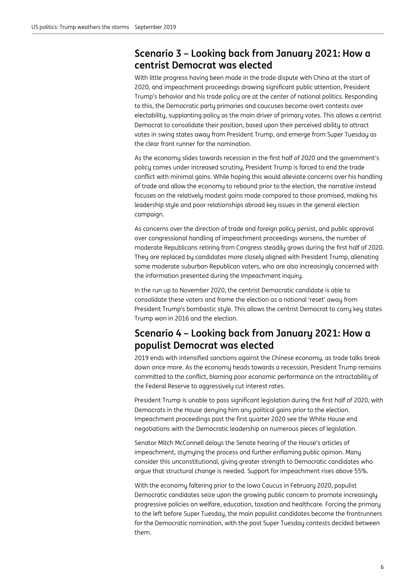# **Scenario 3 – Looking back from January 2021: How a centrist Democrat was elected**

With little progress having been made in the trade dispute with China at the start of 2020, and impeachment proceedings drawing significant public attention, President Trump's behavior and his trade policy are at the center of national politics. Responding to this, the Democratic party primaries and caucuses become overt contests over electability, supplanting policy as the main driver of primary votes. This allows a centrist Democrat to consolidate their position, based upon their perceived ability to attract votes in swing states away from President Trump, and emerge from Super Tuesday as the clear front runner for the nomination.

As the economy slides towards recession in the first half of 2020 and the government's policy comes under increased scrutiny, President Trump is forced to end the trade conflict with minimal gains. While hoping this would alleviate concerns over his handling of trade and allow the economy to rebound prior to the election, the narrative instead focuses on the relatively modest gains made compared to those promised, making his leadership style and poor relationships abroad key issues in the general election campaign.

As concerns over the direction of trade and foreign policy persist, and public approval over congressional handling of impeachment proceedings worsens, the number of moderate Republicans retiring from Congress steadily grows during the first half of 2020. They are replaced by candidates more closely aligned with President Trump, alienating some moderate suburban Republican voters, who are also increasingly concerned with the information presented during the impeachment inquiry.

In the run up to November 2020, the centrist Democratic candidate is able to consolidate these voters and frame the election as a national 'reset' away from President Trump's bombastic style. This allows the centrist Democrat to carry key states Trump won in 2016 and the election.

# **Scenario 4 – Looking back from January 2021: How a populist Democrat was elected**

2019 ends with intensified sanctions against the Chinese economy, as trade talks break down once more. As the economy heads towards a recession, President Trump remains committed to the conflict, blaming poor economic performance on the intractability of the Federal Reserve to aggressively cut interest rates.

President Trump is unable to pass significant legislation during the first half of 2020, with Democrats in the House denying him any political gains prior to the election. Impeachment proceedings past the first quarter 2020 see the White House end negotiations with the Democratic leadership on numerous pieces of legislation.

Senator Mitch McConnell delays the Senate hearing of the House's articles of impeachment, stymying the process and further enflaming public opinion. Many consider this unconstitutional, giving greater strength to Democratic candidates who argue that structural change is needed. Support for impeachment rises above 55%.

With the economy faltering prior to the Iowa Caucus in February 2020, populist Democratic candidates seize upon the growing public concern to promote increasingly progressive policies on welfare, education, taxation and healthcare. Forcing the primary to the left before Super Tuesday, the main populist candidates become the frontrunners for the Democratic nomination, with the post Super Tuesday contests decided between them.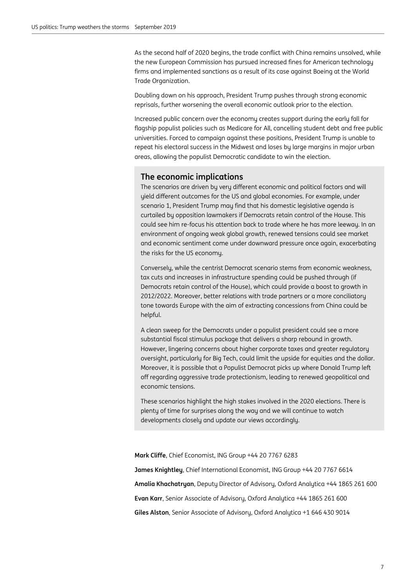As the second half of 2020 begins, the trade conflict with China remains unsolved, while the new European Commission has pursued increased fines for American technology firms and implemented sanctions as a result of its case against Boeing at the World Trade Organization.

Doubling down on his approach, President Trump pushes through strong economic reprisals, further worsening the overall economic outlook prior to the election.

Increased public concern over the economy creates support during the early fall for flagship populist policies such as Medicare for All, cancelling student debt and free public universities. Forced to campaign against these positions, President Trump is unable to repeat his electoral success in the Midwest and loses by large margins in major urban areas, allowing the populist Democratic candidate to win the election.

#### **The economic implications**

The scenarios are driven by very different economic and political factors and will yield different outcomes for the US and global economies. For example, under scenario 1, President Trump may find that his domestic legislative agenda is curtailed by opposition lawmakers if Democrats retain control of the House. This could see him re-focus his attention back to trade where he has more leeway. In an environment of ongoing weak global growth, renewed tensions could see market and economic sentiment come under downward pressure once again, exacerbating the risks for the US economy.

Conversely, while the centrist Democrat scenario stems from economic weakness, tax cuts and increases in infrastructure spending could be pushed through (if Democrats retain control of the House), which could provide a boost to growth in 2012/2022. Moreover, better relations with trade partners or a more conciliatory tone towards Europe with the aim of extracting concessions from China could be helpful.

A clean sweep for the Democrats under a populist president could see a more substantial fiscal stimulus package that delivers a sharp rebound in growth. However, lingering concerns about higher corporate taxes and greater regulatory oversight, particularly for Big Tech, could limit the upside for equities and the dollar. Moreover, it is possible that a Populist Democrat picks up where Donald Trump left off regarding aggressive trade protectionism, leading to renewed geopolitical and economic tensions.

These scenarios highlight the high stakes involved in the 2020 elections. There is plenty of time for surprises along the way and we will continue to watch developments closely and update our views accordingly.

**Mark Cliffe**, Chief Economist, ING Group +44 20 7767 6283

**James Knightley**, Chief International Economist, ING Group +44 20 7767 6614 **Amalia Khachatryan**, Deputy Director of Advisory, Oxford Analytica +44 1865 261 600 **Evan Karr**, Senior Associate of Advisory, Oxford Analytica +44 1865 261 600 **Giles Alston**, Senior Associate of Advisory, Oxford Analytica +1 646 430 9014